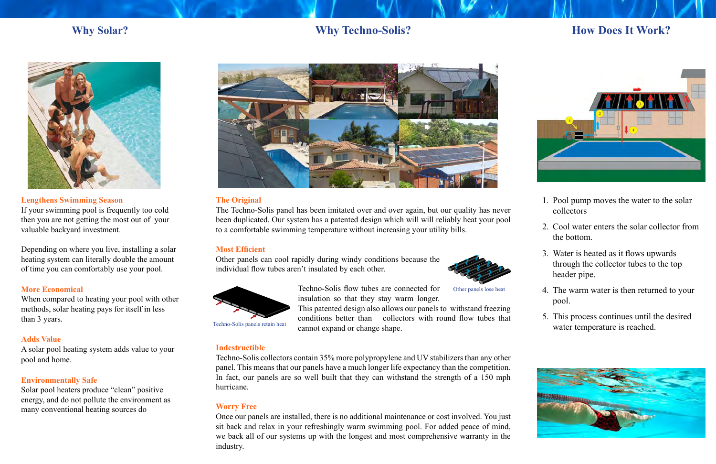

# **Lengthens Swimming Season**

If your swimming pool is frequently too cold then you are not getting the most out of your valuable backyard investment.

Depending on where you live, installing a solar heating system can literally double the amount of time you can comfortably use your pool.

# **More Economical**

When compared to heating your pool with other methods, solar heating pays for itself in less than 3 years.

# **Adds Value**

A solar pool heating system adds value to your pool and home.

- 1. Pool pump moves the water to the solar collectors
- 2. Cool water enters the solar collector from the bottom.
- Water is heated as it flows upwards 3. through the collector tubes to the top header pipe.
- The warm water is then returned to your 4. pool.
- 5. This process continues until the desired water temperature is reached.



# **Environmentally Safe**

Solar pool heaters produce "clean" positive energy, and do not pollute the environment as many conventional heating sources do



# **The Original**

The Techno-Solis panel has been imitated over and over again, but our quality has never been duplicated. Our system has a patented design which will will reliably heat your pool to a comfortable swimming temperature without increasing your utility bills.

# **Most Efficient**

Other panels can cool rapidly during windy conditions because the individual flow tubes aren't insulated by each other.

> Techno-Solis flow tubes are connected for insulation so that they stay warm longer.

This patented design also allows our panels to withstand freezing conditions better than collectors with round flow tubes that cannot expand or change shape.

## **Indestructible**

Techno-Solis collectors contain 35% more polypropylene and UV stabilizers than any other panel. This means that our panels have a much longer life expectancy than the competition. In fact, our panels are so well built that they can withstand the strength of a 150 mph hurricane.

# **Worry Free**

Once our panels are installed, there is no additional maintenance or cost involved. You just sit back and relax in your refreshingly warm swimming pool. For added peace of mind, we back all of our systems up with the longest and most comprehensive warranty in the industry.

# **Why Techno-Solis? Why Techno-Solis? How Does It Work?**